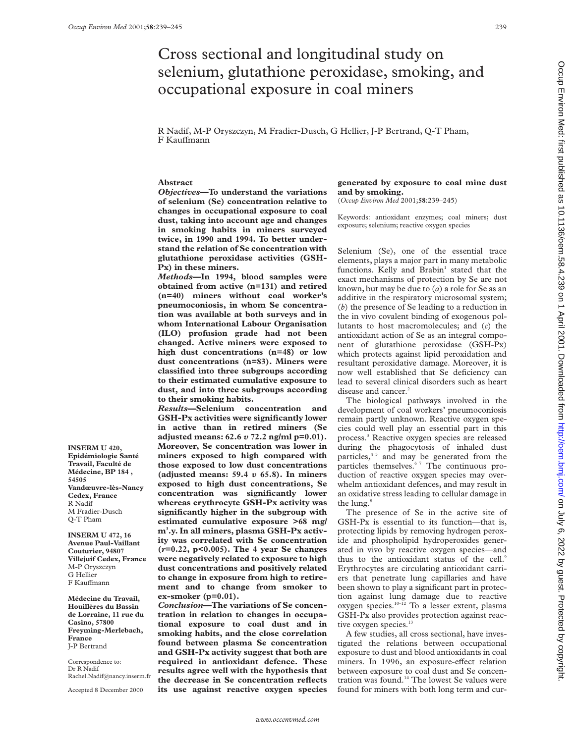# Cross sectional and longitudinal study on selenium, glutathione peroxidase, smoking, and occupational exposure in coal miners

R Nadif, M-P Oryszczyn, M Fradier-Dusch, G Hellier, J-P Bertrand, Q-T Pham, F Kauffmann

## **Abstract**

*Objectives***—To understand the variations of selenium (Se) concentration relative to changes in occupational exposure to coal dust, taking into account age and changes in smoking habits in miners surveyed twice, in 1990 and 1994. To better understand the relation of Se concentration with glutathione peroxidase activities (GSH-Px) in these miners.**

*Methods***—In 1994, blood samples were obtained from active (n=131) and retired (n=40) miners without coal worker's pneumoconiosis, in whom Se concentration was available at both surveys and in whom International Labour Organisation (ILO) profusion grade had not been changed. Active miners were exposed to high dust concentrations (n=48) or low dust concentrations (n=83). Miners were classified into three subgroups according to their estimated cumulative exposure to dust, and into three subgroups according to their smoking habits.**

*Results***—Selenium concentration and GSH-Px activities were significantly lower in active than in retired miners (Se adjusted means: 62.6** *v* **72.2 ng/ml p=0.01). Moreover, Se concentration was lower in miners exposed to high compared with those exposed to low dust concentrations (adjusted means: 59.4** *v* **65.8). In miners exposed to high dust concentrations, Se concentration was significantly lower whereas erythrocyte GSH-Px activity was significantly higher in the subgroup with estimated cumulative exposure >68 mg/ m3 .y. In all miners, plasma GSH-Px activity was correlated with Se concentration (***r***=0.22, p<0.005). The 4 year Se changes were negatively related to exposure to high dust concentrations and positively related to change in exposure from high to retirement and to change from smoker to ex-smoker (p=0.01).**

*Conclusion***—The variations of Se concentration in relation to changes in occupational exposure to coal dust and in smoking habits, and the close correlation found between plasma Se concentration and GSH-Px activity suggest that both are required in antioxidant defence. These results agree well with the hypothesis that the decrease in Se concentration reflects its use against reactive oxygen species**

## **generated by exposure to coal mine dust and by smoking.**

(*Occup Environ Med* 2001;**58**:239–245)

Keywords: antioxidant enzymes; coal miners; dust exposure; selenium; reactive oxygen species

Selenium (Se), one of the essential trace elements, plays a major part in many metabolic functions. Kelly and Brabin<sup>1</sup> stated that the exact mechanisms of protection by Se are not known, but may be due to (*a*) a role for Se as an additive in the respiratory microsomal system; (*b*) the presence of Se leading to a reduction in the in vivo covalent binding of exogenous pollutants to host macromolecules; and (*c*) the antioxidant action of Se as an integral component of glutathione peroxidase (GSH-Px) which protects against lipid peroxidation and resultant peroxidative damage. Moreover, it is now well established that Se deficiency can lead to several clinical disorders such as heart disease and cancer.<sup>2</sup>

The biological pathways involved in the development of coal workers' pneumoconiosis remain partly unknown. Reactive oxygen species could well play an essential part in this process.3 Reactive oxygen species are released during the phagocytosis of inhaled dust particles,<sup>45</sup> and may be generated from the particles themselves.<sup>67</sup> The continuous production of reactive oxygen species may overwhelm antioxidant defences, and may result in an oxidative stress leading to cellular damage in the  $\ln n$  $s^8$ 

The presence of Se in the active site of GSH-Px is essential to its function—that is, protecting lipids by removing hydrogen peroxide and phospholipid hydroperoxides generated in vivo by reactive oxygen species—and thus to the antioxidant status of the cell.<sup>9</sup> Erythrocytes are circulating antioxidant carriers that penetrate lung capillaries and have been shown to play a significant part in protection against lung damage due to reactive oxygen species.10–12 To a lesser extent, plasma GSH-Px also provides protection against reactive oxygen species.<sup>13</sup>

A few studies, all cross sectional, have investigated the relations between occupational exposure to dust and blood antioxidants in coal miners. In 1996, an exposure-effect relation between exposure to coal dust and Se concentration was found.<sup>14</sup> The lowest Se values were found for miners with both long term and cur-

**INSERM U 420, Epidémiologie Santé Travail, Faculté de Médecine, BP 184 , 54505 Vandœuvre-lès-Nancy Cedex, France** R Nadif M Fradier-Dusch Q-T Pham

**INSERM U 472, 16 Avenue Paul-Vaillant Couturier, 94807 Villejuif Cedex, France** M-P Oryszczyn G Hellier F Kauffmann

**Médecine du Travail, Houillères du Bassin de Lorraine, 11 rue du Casino, 57800 Freyming-Merlebach, France** J-P Bertrand

Correspondence to: Dr R Nadif Rachel.Nadif@nancy.inserm.fr

Accepted 8 December 2000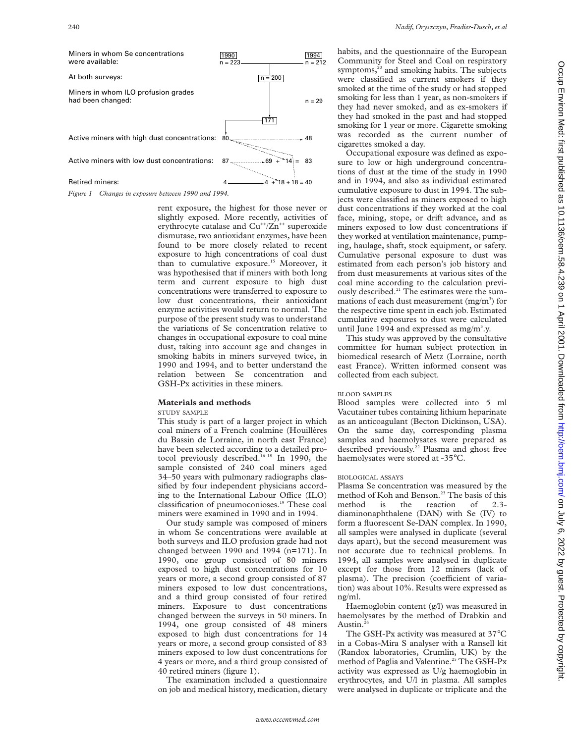

*Figure 1 Changes in exposure between 1990 and 1994.*

rent exposure, the highest for those never or slightly exposed. More recently, activities of erythrocyte catalase and Cu<sup>++</sup>/Zn<sup>++</sup> superoxide dismutase, two antioxidant enzymes, have been found to be more closely related to recent exposure to high concentrations of coal dust than to cumulative exposure.<sup>15</sup> Moreover, it was hypothesised that if miners with both long term and current exposure to high dust concentrations were transferred to exposure to low dust concentrations, their antioxidant enzyme activities would return to normal. The purpose of the present study was to understand the variations of Se concentration relative to changes in occupational exposure to coal mine dust, taking into account age and changes in smoking habits in miners surveyed twice, in 1990 and 1994, and to better understand the relation between Se concentration and GSH-Px activities in these miners.

## **Materials and methods**

#### STUDY SAMPLE

This study is part of a larger project in which coal miners of a French coalmine (Houillères du Bassin de Lorraine, in north east France) have been selected according to a detailed protocol previously described.<sup>16–18</sup> In 1990, the sample consisted of 240 coal miners aged 34–50 years with pulmonary radiographs classified by four independent physicians according to the International Labour Office (ILO) classification of pneumoconioses.19 These coal miners were examined in 1990 and in 1994.

Our study sample was composed of miners in whom Se concentrations were available at both surveys and ILO profusion grade had not changed between 1990 and 1994 (n=171). In 1990, one group consisted of 80 miners exposed to high dust concentrations for 10 years or more, a second group consisted of 87 miners exposed to low dust concentrations, and a third group consisted of four retired miners. Exposure to dust concentrations changed between the surveys in 50 miners. In 1994, one group consisted of 48 miners exposed to high dust concentrations for 14 years or more, a second group consisted of 83 miners exposed to low dust concentrations for 4 years or more, and a third group consisted of 40 retired miners (figure 1).

The examination included a questionnaire on job and medical history, medication, dietary habits, and the questionnaire of the European Community for Steel and Coal on respiratory symptoms,<sup>20</sup> and smoking habits. The subjects were classified as current smokers if they smoked at the time of the study or had stopped smoking for less than 1 year, as non-smokers if they had never smoked, and as ex-smokers if they had smoked in the past and had stopped smoking for 1 year or more. Cigarette smoking was recorded as the current number of cigarettes smoked a day.

Occupational exposure was defined as exposure to low or high underground concentrations of dust at the time of the study in 1990 and in 1994, and also as individual estimated cumulative exposure to dust in 1994. The subjects were classified as miners exposed to high dust concentrations if they worked at the coal face, mining, stope, or drift advance, and as miners exposed to low dust concentrations if they worked at ventilation maintenance, pumping, haulage, shaft, stock equipment, or safety. Cumulative personal exposure to dust was estimated from each person's job history and from dust measurements at various sites of the coal mine according to the calculation previously described.<sup>21</sup> The estimates were the summations of each dust measurement (mg/m<sup>3</sup>) for the respective time spent in each job. Estimated cumulative exposures to dust were calculated until June 1994 and expressed as  $mg/m^3$ .y.

This study was approved by the consultative committee for human subject protection in biomedical research of Metz (Lorraine, north east France). Written informed consent was collected from each subject.

## BLOOD SAMPLES

Blood samples were collected into 5 ml Vacutainer tubes containing lithium heparinate as an anticoagulant (Becton Dickinson, USA). On the same day, corresponding plasma samples and haemolysates were prepared as described previously.<sup>22</sup> Plasma and ghost free haemolysates were stored at -35°C.

#### BIOLOGICAL ASSAYS

Plasma Se concentration was measured by the method of Koh and Benson.<sup>23</sup> The basis of this method is the reaction of 2.3 diaminonaphthalene (DAN) with Se (IV) to form a fluorescent Se-DAN complex. In 1990, all samples were analysed in duplicate (several days apart), but the second measurement was not accurate due to technical problems. In 1994, all samples were analysed in duplicate except for those from 12 miners (lack of plasma). The precision (coefficient of variation) was about 10%. Results were expressed as ng/ml.

Haemoglobin content (g/l) was measured in haemolysates by the method of Drabkin and Austin.<sup>24</sup>

The GSH-Px activity was measured at 37°C in a Cobas-Mira S analyser with a Ransell kit (Randox laboratories, Crumlin, UK) by the method of Paglia and Valentine.<sup>25</sup> The GSH-Px activity was expressed as U/g haemoglobin in erythrocytes, and U/l in plasma. All samples were analysed in duplicate or triplicate and the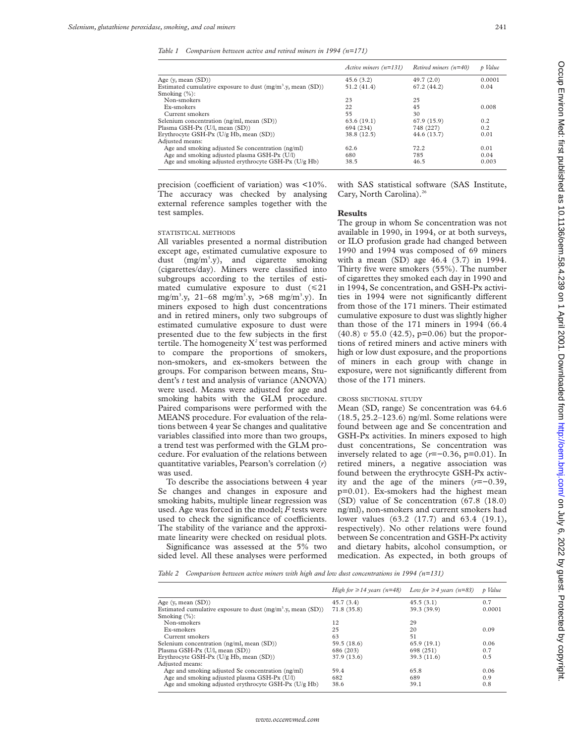*Table 1 Comparison between active and retired miners in 1994 (n=171)*

|                                                                      | Active miners $(n=131)$ | Retired miners $(n=40)$ | p Value |
|----------------------------------------------------------------------|-------------------------|-------------------------|---------|
| Age $(v, \text{mean } (SD))$                                         | 45.6(3.2)               | 49.7(2.0)               | 0.0001  |
| Estimated cumulative exposure to dust $(mg/m3$ , $v$ , mean $(SD)$ ) | 51.2(41.4)              | 67.2(44.2)              | 0.04    |
| Smoking $(\%)$ :                                                     |                         |                         |         |
| Non-smokers                                                          | 23                      | 25                      |         |
| Ex-smokers                                                           | 22                      | 45                      | 0.008   |
| Current smokers                                                      | 55                      | 30                      |         |
| Selenium concentration (ng/ml, mean (SD))                            | 63.6(19.1)              | 67.9(15.9)              | 0.2     |
| Plasma GSH-Px (U/l, mean (SD))                                       | 694 (234)               | 748 (227)               | 0.2     |
| Erythrocyte GSH-Px $(U/g$ Hb, mean $(SD)$ )                          | 38.8 (12.5)             | 44.6 (13.7)             | 0.01    |
| Adjusted means:                                                      |                         |                         |         |
| Age and smoking adjusted Se concentration (ng/ml)                    | 62.6                    | 72.2                    | 0.01    |
| Age and smoking adjusted plasma GSH-Px (U/l)                         | 680                     | 785                     | 0.04    |
| Age and smoking adjusted erythrocyte GSH-Px $(U/g Hb)$               | 38.5                    | 46.5                    | 0.003   |

precision (coefficient of variation) was  $\leq 10\%$ . The accuracy was checked by analysing external reference samples together with the test samples.

with SAS statistical software (SAS Institute, Cary, North Carolina).<sup>26</sup>

## **Results**

STATISTICAL METHODS

All variables presented a normal distribution except age, estimated cumulative exposure to dust (mg/m<sup>3</sup>.y), and cigarette smoking (cigarettes/day). Miners were classified into subgroups according to the tertiles of estimated cumulative exposure to dust  $(\leq 21)$ mg/m<sup>3</sup>.y, 21–68 mg/m<sup>3</sup>.y, >68 mg/m<sup>3</sup>.y). In miners exposed to high dust concentrations and in retired miners, only two subgroups of estimated cumulative exposure to dust were presented due to the few subjects in the first tertile. The homogeneity  $X^2$  test was performed to compare the proportions of smokers, non-smokers, and ex-smokers between the groups. For comparison between means, Student's *t* test and analysis of variance (ANOVA) were used. Means were adjusted for age and smoking habits with the GLM procedure. Paired comparisons were performed with the MEANS procedure. For evaluation of the relations between 4 year Se changes and qualitative variables classified into more than two groups, a trend test was performed with the GLM procedure. For evaluation of the relations between quantitative variables, Pearson's correlation (*r*) was used.

To describe the associations between 4 year Se changes and changes in exposure and smoking habits, multiple linear regression was used. Age was forced in the model; *F* tests were used to check the significance of coefficients. The stability of the variance and the approximate linearity were checked on residual plots.

Significance was assessed at the 5% two sided level. All these analyses were performed

## CROSS SECTIONAL STUDY

Mean (SD, range) Se concentration was 64.6 (18.5, 25.2–123.6) ng/ml. Some relations were found between age and Se concentration and GSH-Px activities. In miners exposed to high dust concentrations, Se concentration was inversely related to age (*r*=−0.36, p=0.01). In retired miners, a negative association was found between the erythrocyte GSH-Px activity and the age of the miners (*r*=−0.39, p=0.01). Ex-smokers had the highest mean (SD) value of Se concentration (67.8 (18.0) ng/ml), non-smokers and current smokers had lower values (63.2 (17.7) and 63.4 (19.1), respectively). No other relations were found between Se concentration and GSH-Px activity and dietary habits, alcohol consumption, or medication. As expected, in both groups of

*Table 2 Comparison between active miners with high and low dust concentrations in 1994 (n=131)*

|                                                                      | High for $\geq 14$ years (n=48) Low for $\geq 4$ years (n=83) |             | p Value |
|----------------------------------------------------------------------|---------------------------------------------------------------|-------------|---------|
| Age $(v, \text{mean } (SD))$                                         | 45.7(3.4)                                                     | 45.5(3.1)   | 0.7     |
| Estimated cumulative exposure to dust $(mg/m3$ , $y$ , mean $(SD)$ ) | 71.8(35.8)                                                    | 39.3 (39.9) | 0.0001  |
| Smoking $(\%):$                                                      |                                                               |             |         |
| Non-smokers                                                          | 12                                                            | 29          |         |
| Ex-smokers                                                           | 25                                                            | 20          | 0.09    |
| Current smokers                                                      | 63                                                            | 51          |         |
| Selenium concentration (ng/ml, mean (SD))                            | 59.5 (18.6)                                                   | 65.9(19.1)  | 0.06    |
| Plasma GSH-Px (U/l, mean (SD))                                       | 686 (203)                                                     | 698 (251)   | 0.7     |
| Erythrocyte GSH-Px (U/g Hb, mean (SD))                               | 37.9 (13.6)                                                   | 39.3(11.6)  | 0.5     |
| Adjusted means:                                                      |                                                               |             |         |
| Age and smoking adjusted Se concentration (ng/ml)                    | 59.4                                                          | 65.8        | 0.06    |
| Age and smoking adjusted plasma GSH-Px (U/l)                         | 682                                                           | 689         | 0.9     |
| Age and smoking adjusted erythrocyte GSH-Px (U/g Hb)                 | 38.6                                                          | 39.1        | 0.8     |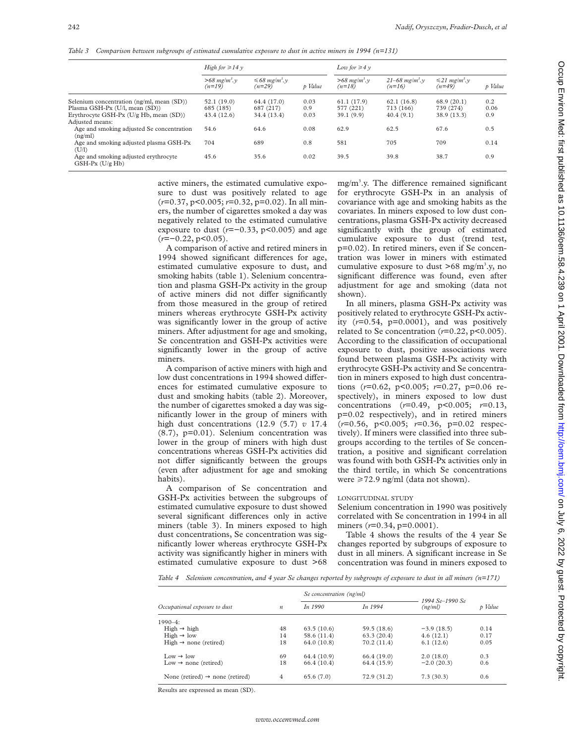*Table 3 Comparison between subgroups of estimated cumulative exposure to dust in active miners in 1994 (n=131)*

|                                                               | High for $\geq 14$ v                   |                                            | Low for $\geq 4$ y |                                        |                                        |                                            |         |
|---------------------------------------------------------------|----------------------------------------|--------------------------------------------|--------------------|----------------------------------------|----------------------------------------|--------------------------------------------|---------|
|                                                               | $>68$ mg/m <sup>3</sup> .v<br>$(n=19)$ | $\leq 68$ mg/m <sup>3</sup> .v<br>$(n=29)$ | p Value            | $>68$ mg/m <sup>3</sup> .y<br>$(n=18)$ | 21–68 mg/m <sup>3</sup> .y<br>$(n=16)$ | $\leq 21$ mg/m <sup>3</sup> .v<br>$(n=49)$ | p Value |
| Selenium concentration (ng/ml, mean (SD))                     | 52.1(19.0)                             | 64.4 (17.0)                                | 0.03               | 61.1(17.9)                             | 62.1(16.8)                             | 68.9(20.1)                                 | 0.2     |
| Plasma GSH-Px (U/l, mean (SD))                                | 685(185)                               | 687 (217)                                  | 0.9                | 577 (221)                              | 713 (166)                              | 739 (274)                                  | 0.06    |
| Erythrocyte GSH-Px (U/g Hb, mean (SD))                        | 43.4(12.6)                             | 34.4 (13.4)                                | 0.03               | 39.1 (9.9)                             | 40.4(9.1)                              | 38.9(13.3)                                 | 0.9     |
| Adjusted means:                                               |                                        |                                            |                    |                                        |                                        |                                            |         |
| Age and smoking adjusted Se concentration<br>(ng/ml)          | 54.6                                   | 64.6                                       | 0.08               | 62.9                                   | 62.5                                   | 67.6                                       | 0.5     |
| Age and smoking adjusted plasma GSH-Px<br>(U/I)               | 704                                    | 689                                        | 0.8                | 581                                    | 705                                    | 709                                        | 0.14    |
| Age and smoking adjusted erythrocyte<br>$GSH-Px$ $(U/g$ $Hb)$ | 45.6                                   | 35.6                                       | 0.02               | 39.5                                   | 39.8                                   | 38.7                                       | 0.9     |

active miners, the estimated cumulative exposure to dust was positively related to age (*r*=0.37, p<0.005; *r*=0.32, p=0.02). In all miners, the number of cigarettes smoked a day was negatively related to the estimated cumulative exposure to dust (*r*=−0.33, p<0.005) and age (*r*=−0.22, p<0.05).

A comparison of active and retired miners in 1994 showed significant differences for age, estimated cumulative exposure to dust, and smoking habits (table 1). Selenium concentration and plasma GSH-Px activity in the group of active miners did not differ significantly from those measured in the group of retired miners whereas erythrocyte GSH-Px activity was significantly lower in the group of active miners. After adjustment for age and smoking, Se concentration and GSH-Px activities were significantly lower in the group of active miners.

A comparison of active miners with high and low dust concentrations in 1994 showed differences for estimated cumulative exposure to dust and smoking habits (table 2). Moreover, the number of cigarettes smoked a day was significantly lower in the group of miners with high dust concentrations (12.9 (5.7) *v* 17.4 (8.7), p=0.01). Selenium concentration was lower in the group of miners with high dust concentrations whereas GSH-Px activities did not differ significantly between the groups (even after adjustment for age and smoking habits).

A comparison of Se concentration and GSH-Px activities between the subgroups of estimated cumulative exposure to dust showed several significant differences only in active miners (table 3). In miners exposed to high dust concentrations, Se concentration was significantly lower whereas erythrocyte GSH-Px activity was significantly higher in miners with estimated cumulative exposure to dust >68

mg/m<sup>3</sup>.y. The difference remained significant for erythrocyte GSH-Px in an analysis of covariance with age and smoking habits as the covariates. In miners exposed to low dust concentrations, plasma GSH-Px activity decreased significantly with the group of estimated cumulative exposure to dust (trend test, p=0.02). In retired miners, even if Se concentration was lower in miners with estimated cumulative exposure to dust  $>68$  mg/m<sup>3</sup>.y, no significant difference was found, even after adjustment for age and smoking (data not shown).

In all miners, plasma GSH-Px activity was positively related to erythrocyte GSH-Px activity  $(r=0.54, p=0.0001)$ , and was positively related to Se concentration  $(r=0.22, p<0.005)$ . According to the classification of occupational exposure to dust, positive associations were found between plasma GSH-Px activity with erythrocyte GSH-Px activity and Se concentration in miners exposed to high dust concentrations (*r*=0.62, p<0.005; *r*=0.27, p=0.06 respectively), in miners exposed to low dust concentrations (*r*=0.49, p<0.005; *r*=0.13, p=0.02 respectively), and in retired miners (*r*=0.56, p<0.005; *r*=0.36, p=0.02 respectively). If miners were classified into three subgroups according to the tertiles of Se concentration, a positive and significant correlation was found with both GSH-Px activities only in the third tertile, in which Se concentrations were  $\geq 72.9$  ng/ml (data not shown).

### LONGITUDINAL STUDY

Selenium concentration in 1990 was positively correlated with Se concentration in 1994 in all miners (*r*=0.34, p=0.0001).

Table 4 shows the results of the 4 year Se changes reported by subgroups of exposure to dust in all miners. A significant increase in Se concentration was found in miners exposed to

*Table 4 Selenium concentration, and 4 year Se changes reported by subgroups of exposure to dust in all miners (n=171)*

| Occupational exposure to dust               | $\boldsymbol{n}$ | Se concentration (ng/ml) |             | 1994 Se-1990 Se<br>(ng/ml) |         |
|---------------------------------------------|------------------|--------------------------|-------------|----------------------------|---------|
|                                             |                  | In $1990$                | In $1994$   |                            | p Value |
| $1990 - 4:$                                 |                  |                          |             |                            |         |
| $High \rightarrow high$                     | 48               | 63.5(10.6)               | 59.5 (18.6) | $-3.9(18.5)$               | 0.14    |
| $High \rightarrow low$                      | 14               | 58.6 (11.4)              | 63.3(20.4)  | 4.6(12.1)                  | 0.17    |
| $High \rightarrow none$ (retired)           | 18               | 64.0 (10.8)              | 70.2(11.4)  | 6.1(12.6)                  | 0.05    |
| $Low \rightarrow low$                       | 69               | 64.4 (10.9)              | 66.4 (19.0) | 2.0(18.0)                  | 0.3     |
| Low $\rightarrow$ none (retired)            | 18               | 66.4 (10.4)              | 64.4 (15.9) | $-2.0(20.3)$               | 0.6     |
| None (retired) $\rightarrow$ none (retired) | 4                | 65.6(7.0)                | 72.9(31.2)  | 7.3(30.3)                  | 0.6     |

Results are expressed as mean (SD).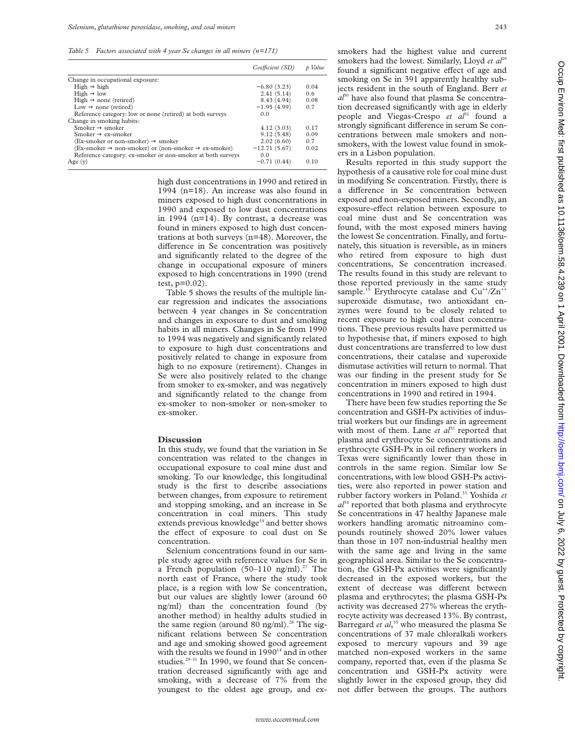*Table 5 Factors associated with 4 year Se changes in all miners (n=171)*

|                                                                            | Coefficient (SD) | p Value |
|----------------------------------------------------------------------------|------------------|---------|
| Change in occupational exposure:                                           |                  |         |
| $High \rightarrow high$                                                    | $-6.80(3.23)$    | 0.04    |
| $High \rightarrow low$                                                     | 2.41(5.14)       | 0.6     |
| $High \rightarrow none$ (retired)                                          | 8.43 (4.94)      | 0.08    |
| Low $\rightarrow$ none (retired)                                           | $-1.95(4.99)$    | 07      |
| Reference category: low or none (retired) at both surveys                  | 0.0              |         |
| Change in smoking habits:                                                  |                  |         |
| Smoker $\rightarrow$ smoker                                                | 4.12(3.03)       | 0.17    |
| $Smoker \rightarrow ex-smoker$                                             | 9.12(5.48)       | 0.09    |
| $(Ex\text{-smoker or non-smoker}) \rightarrow$ smoker                      | 2.02(6.60)       | 0.7     |
| $(Ex\text{-smoker} \to \text{non-smoker})$ or (non-smoker $\to$ ex-smoker) | $-12.71(5.67)$   | 0.02    |
| Reference category: ex-smoker or non-smoker at both surveys                | 0.0              |         |
| Age $(v)$                                                                  | $-0.71(0.44)$    | 0.10    |

high dust concentrations in 1990 and retired in 1994 (n=18). An increase was also found in miners exposed to high dust concentrations in 1990 and exposed to low dust concentrations in 1994 (n=14). By contrast, a decrease was found in miners exposed to high dust concentrations at both surveys (n=48). Moreover, the difference in Se concentration was positively and significantly related to the degree of the change in occupational exposure of miners exposed to high concentrations in 1990 (trend test, p=0.02).

Table 5 shows the results of the multiple linear regression and indicates the associations between 4 year changes in Se concentration and changes in exposure to dust and smoking habits in all miners. Changes in Se from 1990 to 1994 was negatively and significantly related to exposure to high dust concentrations and positively related to change in exposure from high to no exposure (retirement). Changes in Se were also positively related to the change from smoker to ex-smoker, and was negatively and significantly related to the change from ex-smoker to non-smoker or non-smoker to ex-smoker.

#### **Discussion**

In this study, we found that the variation in Se concentration was related to the changes in occupational exposure to coal mine dust and smoking. To our knowledge, this longitudinal study is the first to describe associations between changes, from exposure to retirement and stopping smoking, and an increase in Se concentration in coal miners. This study extends previous knowledge $14$  and better shows the effect of exposure to coal dust on Se concentration.

Selenium concentrations found in our sample study agree with reference values for Se in a French population  $(50-110 \text{ ng/ml})$ .<sup>27</sup> The north east of France, where the study took place, is a region with low Se concentration, but our values are slightly lower (around 60 ng/ml) than the concentration found (by another method) in healthy adults studied in the same region (around 80 ng/ml).<sup>28</sup> The significant relations between Se concentration and age and smoking showed good agreement with the results we found in  $1990<sup>14</sup>$  and in other studies.<sup>29-31</sup> In 1990, we found that Se concentration decreased significantly with age and smoking, with a decrease of 7% from the youngest to the oldest age group, and exsmokers had the highest value and current smokers had the lowest. Similarly, Lloyd et al<sup>29</sup> found a significant negative effect of age and smoking on Se in 391 apparently healthy subjects resident in the south of England. Berr *et*  $a^{30}$  have also found that plasma Se concentration decreased significantly with age in elderly people and Viegas-Crespo *et al*<sup>31</sup> found a strongly significant difference in serum Se concentrations between male smokers and nonsmokers, with the lowest value found in smokers in a Lisbon population.

Results reported in this study support the hypothesis of a causative role for coal mine dust in modifying Se concentration. Firstly, there is a difference in Se concentration between exposed and non-exposed miners. Secondly, an exposure-effect relation between exposure to coal mine dust and Se concentration was found, with the most exposed miners having the lowest Se concentration. Finally, and fortunately, this situation is reversible, as in miners who retired from exposure to high dust concentrations, Se concentration increased. The results found in this study are relevant to those reported previously in the same study sample.<sup>15</sup> Erythrocyte catalase and  $Cu^{++}/Zn^{+}$ superoxide dismutase, two antioxidant enzymes were found to be closely related to recent exposure to high coal dust concentrations. These previous results have permitted us to hypothesise that, if miners exposed to high dust concentrations are transferred to low dust concentrations, their catalase and superoxide dismutase activities will return to normal. That was our finding in the present study for Se concentration in miners exposed to high dust concentrations in 1990 and retired in 1994.

There have been few studies reporting the Se concentration and GSH-Px activities of industrial workers but our findings are in agreement with most of them. Lane *et*  $a^{3}$  reported that plasma and erythrocyte Se concentrations and erythrocyte GSH-Px in oil refinery workers in Texas were significantly lower than those in controls in the same region. Similar low Se concentrations, with low blood GSH-Px activities, were also reported in power station and rubber factory workers in Poland.33 Yoshida *et*  $a^{34}$  reported that both plasma and erythrocyte Se concentrations in 47 healthy Japanese male workers handling aromatic nitroamino compounds routinely showed 20% lower values than those in 107 non-industrial healthy men with the same age and living in the same geographical area. Similar to the Se concentration, the GSH-Px activities were significantly decreased in the exposed workers, but the extent of decrease was different between plasma and erythrocytes; the plasma GSH-Px activity was decreased 27% whereas the erythrocyte activity was decreased 13%. By contrast, Barregard *et al*, <sup>35</sup> who measured the plasma Se concentrations of 37 male chloralkali workers exposed to mercury vapours and 39 age matched non-exposed workers in the same company, reported that, even if the plasma Se concentration and GSH-Px activity were slightly lower in the exposed group, they did not differ between the groups. The authors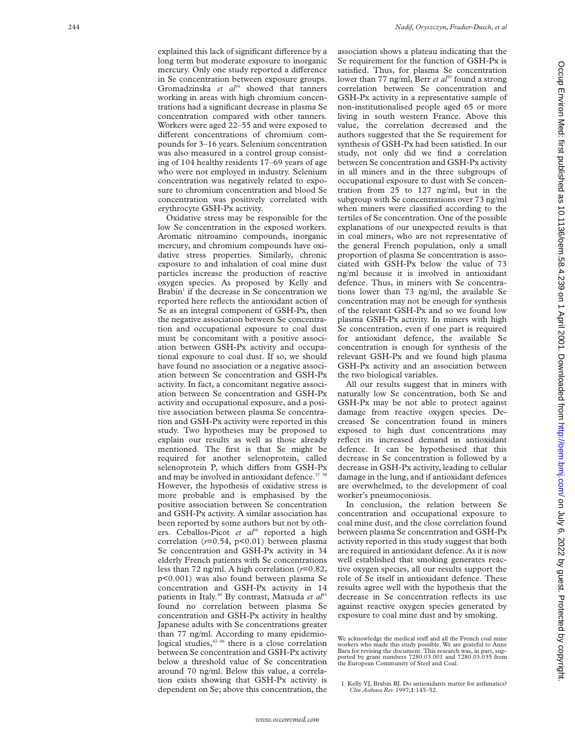explained this lack of significant difference by a long term but moderate exposure to inorganic mercury. Only one study reported a difference in Se concentration between exposure groups. Gromadzinska et al<sup>36</sup> showed that tanners working in areas with high chromium concentrations had a significant decrease in plasma Se concentration compared with other tanners. Workers were aged 22–55 and were exposed to different concentrations of chromium compounds for 3–16 years. Selenium concentration was also measured in a control group consisting of 104 healthy residents 17–69 years of age who were not employed in industry. Selenium concentration was negatively related to exposure to chromium concentration and blood Se concentration was positively correlated with erythrocyte GSH-Px activity.

Oxidative stress may be responsible for the low Se concentration in the exposed workers. Aromatic nitroamino compounds, inorganic mercury, and chromium compounds have oxidative stress properties. Similarly, chronic exposure to and inhalation of coal mine dust particles increase the production of reactive oxygen species. As proposed by Kelly and Brabin <sup>1</sup> if the decrease in Se concentration we reported here reflects the antioxidant action of Se as an integral component of GSH-Px, then the negative association between Se concentration and occupational exposure to coal dust must be concomitant with a positive association between GSH-Px activity and occupational exposure to coal dust. If so, we should have found no association or a negative association between Se concentration and GSH-Px activity. In fact, a concomitant negative association between Se concentration and GSH-Px activity and occupational exposure, and a positive association between plasma Se concentration and GSH-Px activity were reported in this study. Two hypotheses may be proposed to explain our results as well as those already mentioned. The first is that Se might be required for another selenoprotein, called selenoprotein P, which differs from GSH-Px and may be involved in antioxidant defence.<sup>37</sup> <sup>38</sup> However, the hypothesis of oxidative stress is more probable and is emphasised by the positive association between Se concentration and GSH-Px activity. A similar association has been reported by some authors but not by others. Ceballos-Picot et al<sup>39</sup> reported a high correlation ( *r*=0.54, p<0.01) between plasma Se concentration and GSH-Px activity in 34 elderly French patients with Se concentrations less than 72 ng/ml. A high correlation ( *r*=0.82, p<0.001) was also found between plasma Se concentration and GSH-Px activity in 14 patients in Italy.<sup>40</sup> By contrast, Matsuda *et al*<sup>41</sup> found no correlation between plasma Se concentration and GSH-Px activity in healthy Japanese adults with Se concentrations greater than 77 ng/ml. According to many epidemiological studies, $42-46$  there is a close correlation between Se concentration and GSH-Px activity below a threshold value of Se concentration around 70 ng/ml. Below this value, a correlation exists showing that GSH-Px activity is dependent on Se; above this concentration, the

association shows a plateau indicating that the Se requirement for the function of GSH-Px is satisfied. Thus, for plasma Se concentration lower than 77 ng/ml, Berr *et al*<sup>30</sup> found a strong correlation between Se concentration and GSH-Px activity in a representative sample of non-institutionalised people aged 65 or more living in south western France. Above this value, the correlation decreased and the authors suggested that the Se requirement for synthesis of GSH-Px had been satisfied. In our study, not only did we find a correlation between Se concentration and GSH-Px activity in all miners and in the three subgroups of occupational exposure to dust with Se concentration from 25 to 127 ng/ml, but in the subgroup with Se concentrations over 73 ng/ml when miners were classified according to the tertiles of Se concentration. One of the possible explanations of our unexpected results is that in coal miners, who are not representative of the general French population, only a small proportion of plasma Se concentration is associated with GSH-Px below the value of 73 ng/ml because it is involved in antioxidant defence. Thus, in miners with Se concentrations lower than 73 ng/ml, the available Se concentration may not be enough for synthesis of the relevant GSH-Px and so we found low plasma GSH-Px activity. In miners with high Se concentration, even if one part is required for antioxidant defence, the available Se concentration is enough for synthesis of the relevant GSH-Px and we found high plasma GSH-Px activity and an association between the two biological variables.

All our results suggest that in miners with naturally low Se concentration, both Se and GSH-Px may be not able to protect against damage from reactive oxygen species. Decreased Se concentration found in miners exposed to high dust concentrations may reflect its increased demand in antioxidant defence. It can be hypothesised that this decrease in Se concentration is followed by a decrease in GSH-Px activity, leading to cellular damage in the lung, and if antioxidant defences are overwhelmed, to the development of coal worker's pneumoconiosis.

In conclusion, the relation between Se concentration and occupational exposure to coal mine dust, and the close correlation found between plasma Se concentration and GSH-Px activity reported in this study suggest that both are required in antioxidant defence. As it is now well established that smoking generates reactive oxygen species, all our results support the role of Se itself in antioxidant defence. These results agree well with the hypothesis that the decrease in Se concentration reflects its use against reactive oxygen species generated by exposure to coal mine dust and by smoking.

We acknowledge the medical staff and all the French coal mine<br>workers who made this study possible. We are grateful to Anne<br>Bara for revising the document. This research was, in part, supported by grant numbers 7280.03.001 and 7280.03.035 from the European Community of Steel and Coal.

<sup>1</sup> Kelly YJ, Brabin BJ. Do antioxidants matter for asthmatics? *Clin Asthma Rev* 1997; **1**:145–52.